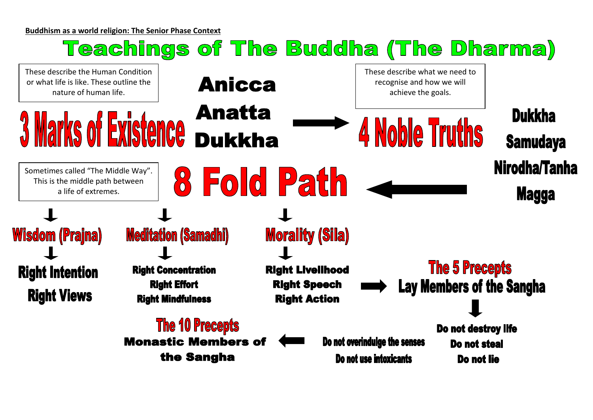**Buddhism as a world religion: The Senior Phase Context**

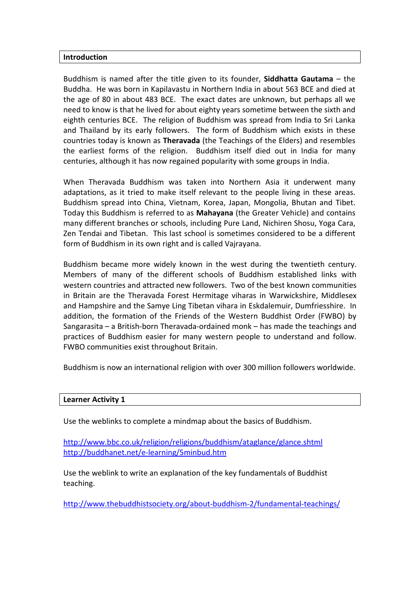#### **Introduction**

Buddhism is named after the title given to its founder, **Siddhatta Gautama** – the Buddha. He was born in Kapilavastu in Northern India in about 563 BCE and died at the age of 80 in about 483 BCE. The exact dates are unknown, but perhaps all we need to know is that he lived for about eighty years sometime between the sixth and eighth centuries BCE. The religion of Buddhism was spread from India to Sri Lanka and Thailand by its early followers. The form of Buddhism which exists in these countries today is known as **Theravada** (the Teachings of the Elders) and resembles the earliest forms of the religion. Buddhism itself died out in India for many centuries, although it has now regained popularity with some groups in India.

When Theravada Buddhism was taken into Northern Asia it underwent many adaptations, as it tried to make itself relevant to the people living in these areas. Buddhism spread into China, Vietnam, Korea, Japan, Mongolia, Bhutan and Tibet. Today this Buddhism is referred to as **Mahayana** (the Greater Vehicle) and contains many different branches or schools, including Pure Land, Nichiren Shosu, Yoga Cara, Zen Tendai and Tibetan. This last school is sometimes considered to be a different form of Buddhism in its own right and is called Vajrayana.

Buddhism became more widely known in the west during the twentieth century. Members of many of the different schools of Buddhism established links with western countries and attracted new followers. Two of the best known communities in Britain are the Theravada Forest Hermitage viharas in Warwickshire, Middlesex and Hampshire and the Samye Ling Tibetan vihara in Eskdalemuir, Dumfriesshire. In addition, the formation of the Friends of the Western Buddhist Order (FWBO) by Sangarasita – a British-born Theravada-ordained monk – has made the teachings and practices of Buddhism easier for many western people to understand and follow. FWBO communities exist throughout Britain.

Buddhism is now an international religion with over 300 million followers worldwide.

Use the weblinks to complete a mindmap about the basics of Buddhism.

<http://www.bbc.co.uk/religion/religions/buddhism/ataglance/glance.shtml> <http://buddhanet.net/e-learning/5minbud.htm>

Use the weblink to write an explanation of the key fundamentals of Buddhist teaching.

<http://www.thebuddhistsociety.org/about-buddhism-2/fundamental-teachings/>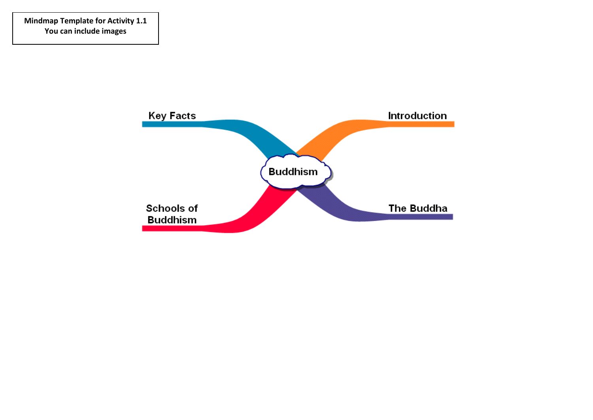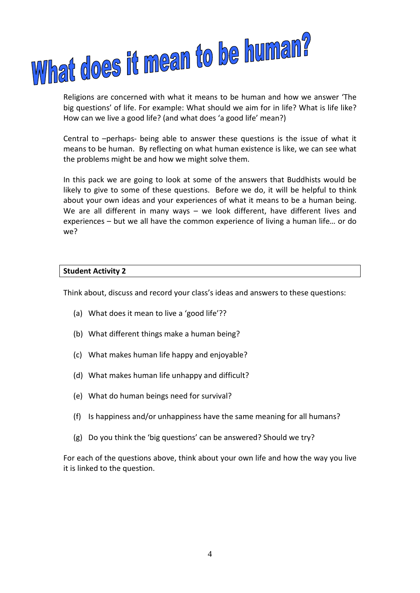

Religions are concerned with what it means to be human and how we answer 'The big questions' of life. For example: What should we aim for in life? What is life like? How can we live a good life? (and what does 'a good life' mean?)

Central to –perhaps- being able to answer these questions is the issue of what it means to be human. By reflecting on what human existence is like, we can see what the problems might be and how we might solve them.

In this pack we are going to look at some of the answers that Buddhists would be likely to give to some of these questions. Before we do, it will be helpful to think about your own ideas and your experiences of what it means to be a human being. We are all different in many ways – we look different, have different lives and experiences – but we all have the common experience of living a human life… or do we?

#### **Student Activity 2**

Think about, discuss and record your class's ideas and answers to these questions:

- (a) What does it mean to live a 'good life'??
- (b) What different things make a human being?
- (c) What makes human life happy and enjoyable?
- (d) What makes human life unhappy and difficult?
- (e) What do human beings need for survival?
- (f) Is happiness and/or unhappiness have the same meaning for all humans?
- (g) Do you think the 'big questions' can be answered? Should we try?

For each of the questions above, think about your own life and how the way you live it is linked to the question.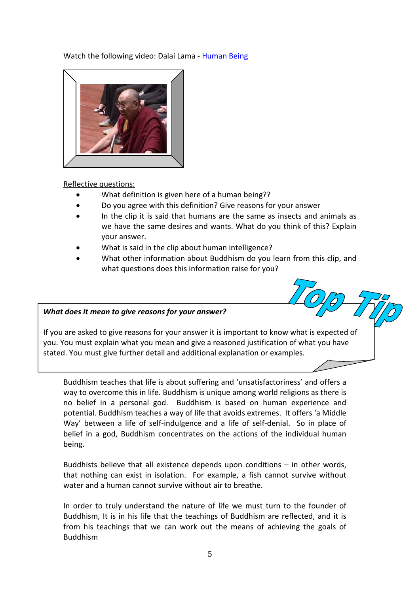# Watch the following video: Dalai Lama - [Human Being](http://www.educationscotland.gov.uk/video/d/humanbeing.asp)



Reflective questions:

- What definition is given here of a human being??
- Do you agree with this definition? Give reasons for your answer
- In the clip it is said that humans are the same as insects and animals as we have the same desires and wants. What do you think of this? Explain your answer.
- What is said in the clip about human intelligence?
- What other information about Buddhism do you learn from this clip, and what questions does this information raise for you?

#### *What does it mean to give reasons for your answer?*

If you are asked to give reasons for your answer it is important to know what is expected of you. You must explain what you mean and give a reasoned justification of what you have stated. You must give further detail and additional explanation or examples.

Buddhism teaches that life is about suffering and 'unsatisfactoriness' and offers a way to overcome this in life. Buddhism is unique among world religions as there is no belief in a personal god. Buddhism is based on human experience and potential. Buddhism teaches a way of life that avoids extremes. It offers 'a Middle Way' between a life of self-indulgence and a life of self-denial. So in place of belief in a god, Buddhism concentrates on the actions of the individual human being.

Buddhists believe that all existence depends upon conditions – in other words, that nothing can exist in isolation. For example, a fish cannot survive without water and a human cannot survive without air to breathe.

In order to truly understand the nature of life we must turn to the founder of Buddhism, It is in his life that the teachings of Buddhism are reflected, and it is from his teachings that we can work out the means of achieving the goals of Buddhism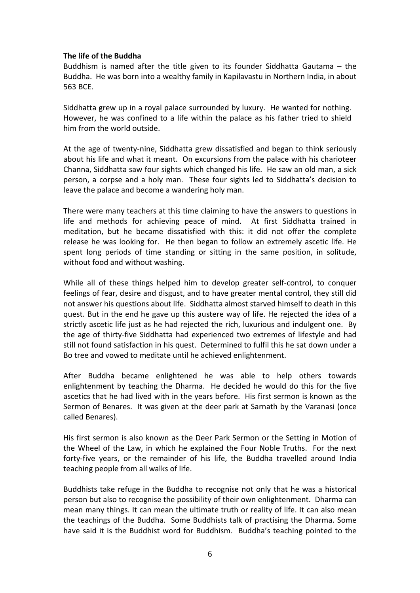#### **The life of the Buddha**

Buddhism is named after the title given to its founder Siddhatta Gautama – the Buddha. He was born into a wealthy family in Kapilavastu in Northern India, in about 563 BCE.

Siddhatta grew up in a royal palace surrounded by luxury. He wanted for nothing. However, he was confined to a life within the palace as his father tried to shield him from the world outside.

At the age of twenty-nine, Siddhatta grew dissatisfied and began to think seriously about his life and what it meant. On excursions from the palace with his charioteer Channa, Siddhatta saw four sights which changed his life. He saw an old man, a sick person, a corpse and a holy man. These four sights led to Siddhatta's decision to leave the palace and become a wandering holy man.

There were many teachers at this time claiming to have the answers to questions in life and methods for achieving peace of mind. At first Siddhatta trained in meditation, but he became dissatisfied with this: it did not offer the complete release he was looking for. He then began to follow an extremely ascetic life. He spent long periods of time standing or sitting in the same position, in solitude, without food and without washing.

While all of these things helped him to develop greater self-control, to conquer feelings of fear, desire and disgust, and to have greater mental control, they still did not answer his questions about life. Siddhatta almost starved himself to death in this quest. But in the end he gave up this austere way of life. He rejected the idea of a strictly ascetic life just as he had rejected the rich, luxurious and indulgent one. By the age of thirty-five Siddhatta had experienced two extremes of lifestyle and had still not found satisfaction in his quest. Determined to fulfil this he sat down under a Bo tree and vowed to meditate until he achieved enlightenment.

After Buddha became enlightened he was able to help others towards enlightenment by teaching the Dharma. He decided he would do this for the five ascetics that he had lived with in the years before. His first sermon is known as the Sermon of Benares. It was given at the deer park at Sarnath by the Varanasi (once called Benares).

His first sermon is also known as the Deer Park Sermon or the Setting in Motion of the Wheel of the Law, in which he explained the Four Noble Truths. For the next forty-five years, or the remainder of his life, the Buddha travelled around India teaching people from all walks of life.

Buddhists take refuge in the Buddha to recognise not only that he was a historical person but also to recognise the possibility of their own enlightenment. Dharma can mean many things. It can mean the ultimate truth or reality of life. It can also mean the teachings of the Buddha. Some Buddhists talk of practising the Dharma. Some have said it is the Buddhist word for Buddhism. Buddha's teaching pointed to the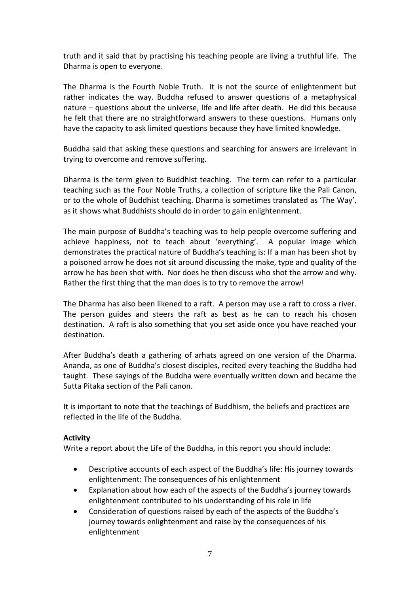truth and it said that by practising his teaching people are living a truthful life. The Dharma is open to everyone.

The Dharma is the Fourth Noble Truth. It is not the source of enlightenment but rather indicates the way. Buddha refused to answer questions of a metaphysical nature – questions about the universe, life and life after death. He did this because he felt that there are no straightforward answers to these questions. Humans only have the capacity to ask limited questions because they have limited knowledge.

Buddha said that asking these questions and searching for answers are irrelevant in trying to overcome and remove suffering.

Dharma is the term given to Buddhist teaching. The term can refer to a particular teaching such as the Four Noble Truths, a collection of scripture like the Pali Canon, or to the whole of Buddhist teaching. Dharma is sometimes translated as 'The Way', as it shows what Buddhists should do in order to gain enlightenment.

The main purpose of Buddha's teaching was to help people overcome suffering and achieve happiness, not to teach about 'everything'. A popular image which demonstrates the practical nature of Buddha's teaching is: If a man has been shot by a poisoned arrow he does not sit around discussing the make, type and quality of the arrow he has been shot with. Nor does he then discuss who shot the arrow and why. Rather the first thing that the man does is to try to remove the arrow!

The Dharma has also been likened to a raft. A person may use a raft to cross a river. The person guides and steers the raft as best as he can to reach his chosen destination. A raft is also something that you set aside once you have reached your destination.

After Buddha's death a gathering of arhats agreed on one version of the Dharma. Ananda, as one of Buddha's closest disciples, recited every teaching the Buddha had taught. These sayings of the Buddha were eventually written down and became the Sutta Pitaka section of the Pali canon.

It is important to note that the teachings of Buddhism, the beliefs and practices are reflected in the life of the Buddha.

#### **Activity**

Write a report about the Life of the Buddha, in this report you should include:

- Descriptive accounts of each aspect of the Buddha's life: His journey towards enlightenment: The consequences of his enlightenment
- Explanation about how each of the aspects of the Buddha's journey towards enlightenment contributed to his understanding of his role in life
- Consideration of questions raised by each of the aspects of the Buddha's journey towards enlightenment and raise by the consequences of his enlightenment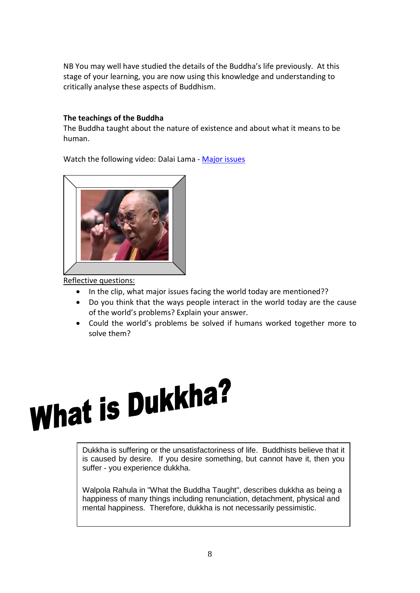NB You may well have studied the details of the Buddha's life previously. At this stage of your learning, you are now using this knowledge and understanding to critically analyse these aspects of Buddhism.

# **The teachings of the Buddha**

The Buddha taught about the nature of existence and about what it means to be human.

Watch the following video: Dalai Lama - [Major issues](http://www.educationscotland.gov.uk/video/d/majorissues.asp)



Reflective questions:

- In the clip, what major issues facing the world today are mentioned??
- Do you think that the ways people interact in the world today are the cause of the world's problems? Explain your answer.
- Could the world's problems be solved if humans worked together more to solve them?

# What is Dukkha?

Dukkha is suffering or the unsatisfactoriness of life. Buddhists believe that it is caused by desire. If you desire something, but cannot have it, then you suffer - you experience dukkha.

Walpola Rahula in "What the Buddha Taught", describes dukkha as being a happiness of many things including renunciation, detachment, physical and mental happiness. Therefore, dukkha is not necessarily pessimistic.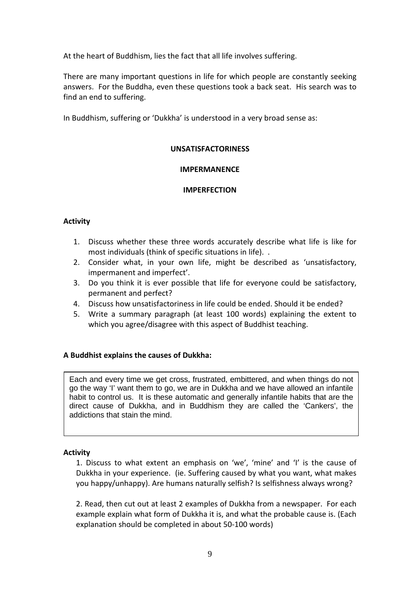At the heart of Buddhism, lies the fact that all life involves suffering.

There are many important questions in life for which people are constantly seeking answers. For the Buddha, even these questions took a back seat. His search was to find an end to suffering.

In Buddhism, suffering or 'Dukkha' is understood in a very broad sense as:

## **UNSATISFACTORINESS**

#### **IMPERMANENCE**

#### **IMPERFECTION**

## **Activity**

- 1. Discuss whether these three words accurately describe what life is like for most individuals (think of specific situations in life). .
- 2. Consider what, in your own life, might be described as 'unsatisfactory, impermanent and imperfect'.
- 3. Do you think it is ever possible that life for everyone could be satisfactory, permanent and perfect?
- 4. Discuss how unsatisfactoriness in life could be ended. Should it be ended?
- 5. Write a summary paragraph (at least 100 words) explaining the extent to which you agree/disagree with this aspect of Buddhist teaching.

#### **A Buddhist explains the causes of Dukkha:**

Each and every time we get cross, frustrated, embittered, and when things do not go the way 'I' want them to go, we are in Dukkha and we have allowed an infantile habit to control us. It is these automatic and generally infantile habits that are the direct cause of Dukkha, and in Buddhism they are called the 'Cankers', the addictions that stain the mind.

#### **Activity**

1. Discuss to what extent an emphasis on 'we', 'mine' and 'I' is the cause of Dukkha in your experience. (ie. Suffering caused by what you want, what makes you happy/unhappy). Are humans naturally selfish? Is selfishness always wrong?

2. Read, then cut out at least 2 examples of Dukkha from a newspaper. For each example explain what form of Dukkha it is, and what the probable cause is. (Each explanation should be completed in about 50-100 words)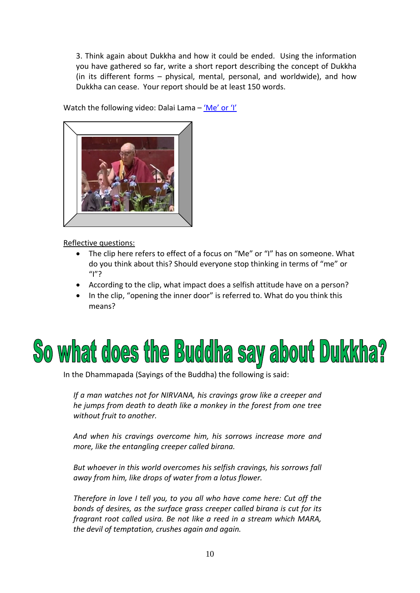3. Think again about Dukkha and how it could be ended. Using the information you have gathered so far, write a short report describing the concept of Dukkha (in its different forms – physical, mental, personal, and worldwide), and how Dukkha can cease. Your report should be at least 150 words.

Watch the following video: Dalai Lama – ['Me' or 'I'](http://www.educationscotland.gov.uk/video/d/meori.asp)



Reflective questions:

- The clip here refers to effect of a focus on "Me" or "I" has on someone. What do you think about this? Should everyone stop thinking in terms of "me" or " $'$ ?
- According to the clip, what impact does a selfish attitude have on a person?
- In the clip, "opening the inner door" is referred to. What do you think this means?



In the Dhammapada (Sayings of the Buddha) the following is said:

*If a man watches not for NIRVANA, his cravings grow like a creeper and he jumps from death to death like a monkey in the forest from one tree without fruit to another.*

*And when his cravings overcome him, his sorrows increase more and more, like the entangling creeper called birana.*

*But whoever in this world overcomes his selfish cravings, his sorrows fall away from him, like drops of water from a lotus flower.*

*Therefore in love I tell you, to you all who have come here: Cut off the bonds of desires, as the surface grass creeper called birana is cut for its fragrant root called usira. Be not like a reed in a stream which MARA, the devil of temptation, crushes again and again.*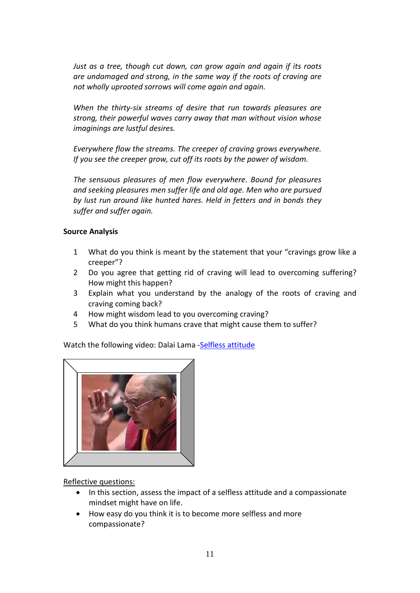*Just as a tree, though cut down, can grow again and again if its roots are undamaged and strong, in the same way if the roots of craving are not wholly uprooted sorrows will come again and again.*

*When the thirty-six streams of desire that run towards pleasures are strong, their powerful waves carry away that man without vision whose imaginings are lustful desires.*

*Everywhere flow the streams. The creeper of craving grows everywhere. If you see the creeper grow, cut off its roots by the power of wisdom.*

*The sensuous pleasures of men flow everywhere. Bound for pleasures and seeking pleasures men suffer life and old age. Men who are pursued by lust run around like hunted hares. Held in fetters and in bonds they suffer and suffer again.*

# **Source Analysis**

- 1 What do you think is meant by the statement that your "cravings grow like a creeper"?
- 2 Do you agree that getting rid of craving will lead to overcoming suffering? How might this happen?
- 3 Explain what you understand by the analogy of the roots of craving and craving coming back?
- 4 How might wisdom lead to you overcoming craving?
- 5 What do you think humans crave that might cause them to suffer?

Watch the following video: Dalai Lama [-Selfless attitude](http://www.educationscotland.gov.uk/video/d/selflessattitude.asp)



Reflective questions:

- In this section, assess the impact of a selfless attitude and a compassionate mindset might have on life.
- How easy do you think it is to become more selfless and more compassionate?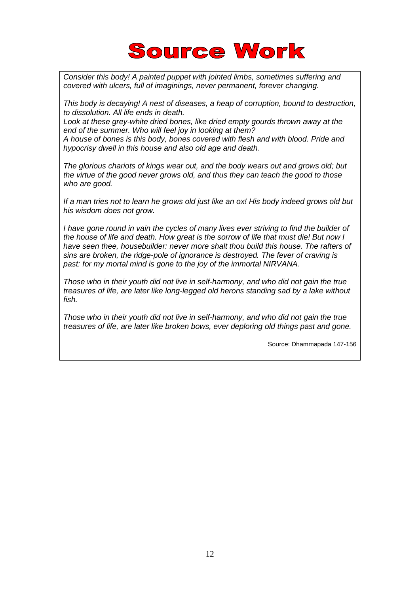# **Source Work**

*Consider this body! A painted puppet with jointed limbs, sometimes suffering and covered with ulcers, full of imaginings, never permanent, forever changing.*

*This body is decaying! A nest of diseases, a heap of corruption, bound to destruction, to dissolution. All life ends in death.*

*Look at these grey-white dried bones, like dried empty gourds thrown away at the end of the summer. Who will feel joy in looking at them?*

*A house of bones is this body, bones covered with flesh and with blood. Pride and hypocrisy dwell in this house and also old age and death.*

*The glorious chariots of kings wear out, and the body wears out and grows old; but the virtue of the good never grows old, and thus they can teach the good to those who are good.*

*If a man tries not to learn he grows old just like an ox! His body indeed grows old but his wisdom does not grow.*

*I have gone round in vain the cycles of many lives ever striving to find the builder of the house of life and death. How great is the sorrow of life that must die! But now I have seen thee, housebuilder: never more shalt thou build this house. The rafters of sins are broken, the ridge-pole of ignorance is destroyed. The fever of craving is past: for my mortal mind is gone to the joy of the immortal NIRVANA.*

*Those who in their youth did not live in self-harmony, and who did not gain the true treasures of life, are later like long-legged old herons standing sad by a lake without fish.*

*Those who in their youth did not live in self-harmony, and who did not gain the true treasures of life, are later like broken bows, ever deploring old things past and gone.*

Source: Dhammapada 147-156